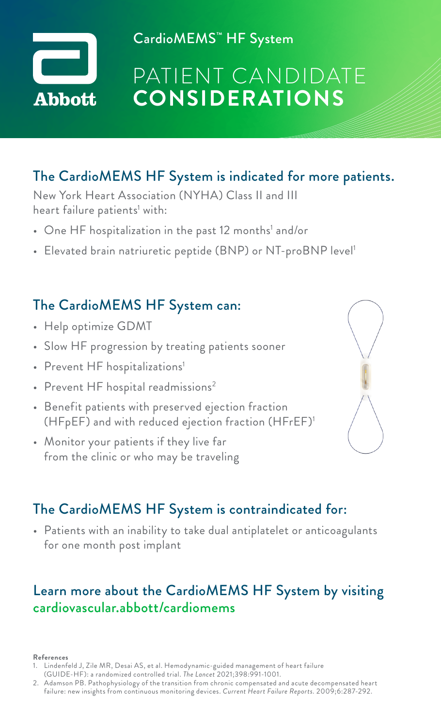

CardioMEMS™ HF System

# PATIENT CANDIDATE **CONSIDERATIONS**

## The CardioMEMS HF System is indicated for more patients.

New York Heart Association (NYHA) Class II and III heart failure patients' with:

- $\bullet~$  One HF hospitalization in the past 12 months' and/or
- Elevated brain natriuretic peptide (BNP) or NT-proBNP level<sup>1</sup>

### The CardioMEMS HF System can:

- Help optimize GDMT
- Slow HF progression by treating patients sooner
- Prevent HF hospitalizations<sup>1</sup>
- Prevent  $HF$  hospital readmissions<sup>2</sup>
- Benefit patients with preserved ejection fraction (HFpEF) and with reduced ejection fraction (HFrEF)1
- Monitor your patients if they live far from the clinic or who may be traveling



### The CardioMEMS HF System is contraindicated for:

• Patients with an inability to take dual antiplatelet or anticoagulants for one month post implant

### Learn more about the CardioMEMS HF System by visiting cardiovascular.abbott/cardiomems

#### **References**

- 1. Lindenfeld J, Zile MR, Desai AS, et al. Hemodynamic-guided management of heart failure (GUIDE-HF): a randomized controlled trial. *The Lancet* 2021;398:991-1001.
- 2. Adamson PB. Pathophysiology of the transition from chronic compensated and acute decompensated heart failure: new insights from continuous monitoring devices. *Current Heart Failure Reports.* 2009;6:287-292.